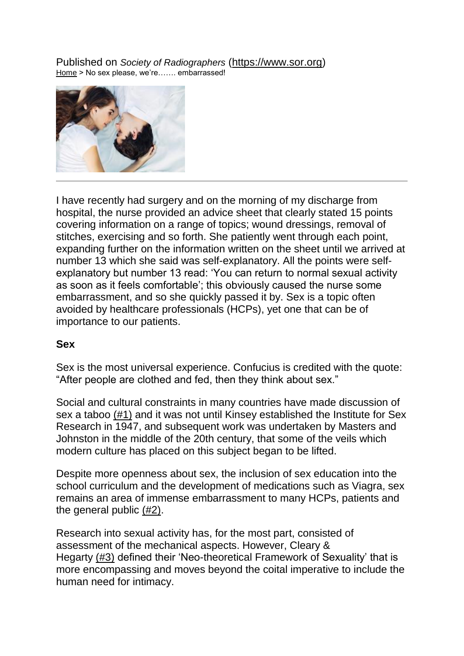Published on *Society of Radiographers* [\(https://www.sor.org\)](https://www.sor.org/) [Home](https://www.sor.org/) > No sex please, we're……. embarrassed!



I have recently had surgery and on the morning of my discharge from hospital, the nurse provided an advice sheet that clearly stated 15 points covering information on a range of topics; wound dressings, removal of stitches, exercising and so forth. She patiently went through each point, expanding further on the information written on the sheet until we arrived at number 13 which she said was self-explanatory. All the points were selfexplanatory but number 13 read: 'You can return to normal sexual activity as soon as it feels comfortable'; this obviously caused the nurse some embarrassment, and so she quickly passed it by. Sex is a topic often avoided by healthcare professionals (HCPs), yet one that can be of importance to our patients.

#### **Sex**

Sex is the most universal experience. Confucius is credited with the quote: "After people are clothed and fed, then they think about sex."

Social and cultural constraints in many countries have made discussion of sex a taboo [\(#1\)](https://www.sor.org/print/22351#TB_inline?height=155&width=300&inlineId=cite_ref-1&modal=false) and it was not until Kinsey established the Institute for Sex Research in 1947, and subsequent work was undertaken by Masters and Johnston in the middle of the 20th century, that some of the veils which modern culture has placed on this subject began to be lifted.

Despite more openness about sex, the inclusion of sex education into the school curriculum and the development of medications such as Viagra, sex remains an area of immense embarrassment to many HCPs, patients and the general public [\(#2\).](https://www.sor.org/print/22351#TB_inline?height=155&width=300&inlineId=cite_ref-2&modal=false)

Research into sexual activity has, for the most part, consisted of assessment of the mechanical aspects. However, Cleary & Hegarty [\(#3\)](https://www.sor.org/print/22351#TB_inline?height=155&width=300&inlineId=cite_ref-3&modal=false) defined their 'Neo-theoretical Framework of Sexuality' that is more encompassing and moves beyond the coital imperative to include the human need for intimacy.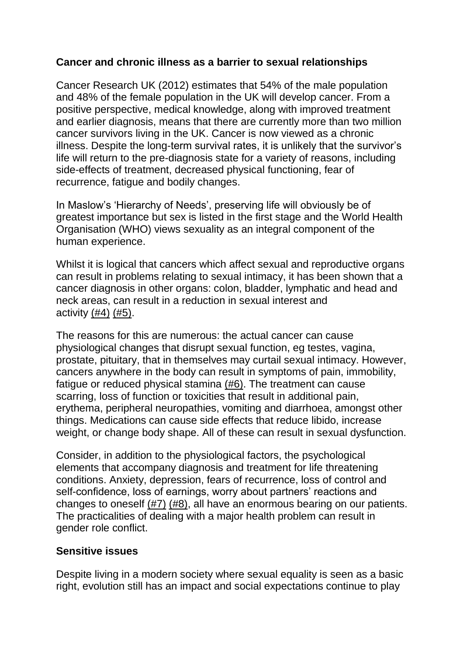#### **Cancer and chronic illness as a barrier to sexual relationships**

Cancer Research UK (2012) estimates that 54% of the male population and 48% of the female population in the UK will develop cancer. From a positive perspective, medical knowledge, along with improved treatment and earlier diagnosis, means that there are currently more than two million cancer survivors living in the UK. Cancer is now viewed as a chronic illness. Despite the long-term survival rates, it is unlikely that the survivor's life will return to the pre-diagnosis state for a variety of reasons, including side-effects of treatment, decreased physical functioning, fear of recurrence, fatigue and bodily changes.

In Maslow's 'Hierarchy of Needs', preserving life will obviously be of greatest importance but sex is listed in the first stage and the World Health Organisation (WHO) views sexuality as an integral component of the human experience.

Whilst it is logical that cancers which affect sexual and reproductive organs can result in problems relating to sexual intimacy, it has been shown that a cancer diagnosis in other organs: colon, bladder, lymphatic and head and neck areas, can result in a reduction in sexual interest and activity [\(#4\)](https://www.sor.org/print/22351#TB_inline?height=155&width=300&inlineId=cite_ref-4&modal=false) [\(#5\).](https://www.sor.org/print/22351#TB_inline?height=155&width=300&inlineId=cite_ref-5&modal=false)

The reasons for this are numerous: the actual cancer can cause physiological changes that disrupt sexual function, eg testes, vagina, prostate, pituitary, that in themselves may curtail sexual intimacy. However, cancers anywhere in the body can result in symptoms of pain, immobility, fatigue or reduced physical stamina [\(#6\).](https://www.sor.org/print/22351#TB_inline?height=155&width=300&inlineId=cite_ref-6&modal=false) The treatment can cause scarring, loss of function or toxicities that result in additional pain, erythema, peripheral neuropathies, vomiting and diarrhoea, amongst other things. Medications can cause side effects that reduce libido, increase weight, or change body shape. All of these can result in sexual dysfunction.

Consider, in addition to the physiological factors, the psychological elements that accompany diagnosis and treatment for life threatening conditions. Anxiety, depression, fears of recurrence, loss of control and self-confidence, loss of earnings, worry about partners' reactions and changes to oneself [\(#7\)](https://www.sor.org/print/22351#TB_inline?height=155&width=300&inlineId=cite_ref-7&modal=false) [\(#8\),](https://www.sor.org/print/22351#TB_inline?height=155&width=300&inlineId=cite_ref-8&modal=false) all have an enormous bearing on our patients. The practicalities of dealing with a major health problem can result in gender role conflict.

## **Sensitive issues**

Despite living in a modern society where sexual equality is seen as a basic right, evolution still has an impact and social expectations continue to play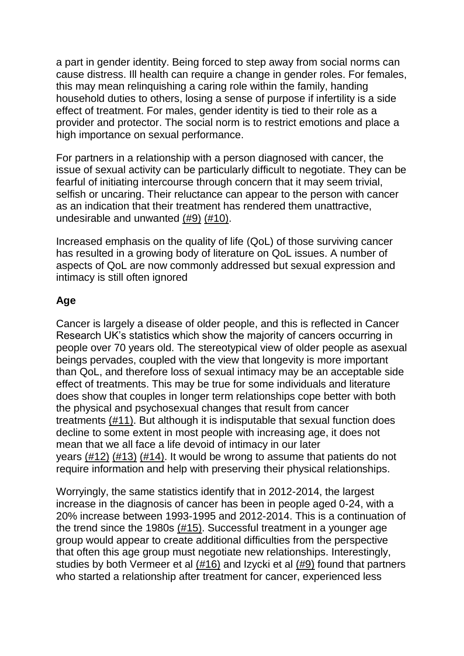a part in gender identity. Being forced to step away from social norms can cause distress. Ill health can require a change in gender roles. For females, this may mean relinquishing a caring role within the family, handing household duties to others, losing a sense of purpose if infertility is a side effect of treatment. For males, gender identity is tied to their role as a provider and protector. The social norm is to restrict emotions and place a high importance on sexual performance.

For partners in a relationship with a person diagnosed with cancer, the issue of sexual activity can be particularly difficult to negotiate. They can be fearful of initiating intercourse through concern that it may seem trivial, selfish or uncaring. Their reluctance can appear to the person with cancer as an indication that their treatment has rendered them unattractive, undesirable and unwanted [\(#9\)](https://www.sor.org/print/22351#TB_inline?height=155&width=300&inlineId=cite_ref-9&modal=false) [\(#10\).](https://www.sor.org/print/22351#TB_inline?height=155&width=300&inlineId=cite_ref-10&modal=false)

Increased emphasis on the quality of life (QoL) of those surviving cancer has resulted in a growing body of literature on QoL issues. A number of aspects of QoL are now commonly addressed but sexual expression and intimacy is still often ignored

# **Age**

Cancer is largely a disease of older people, and this is reflected in Cancer Research UK's statistics which show the majority of cancers occurring in people over 70 years old. The stereotypical view of older people as asexual beings pervades, coupled with the view that longevity is more important than QoL, and therefore loss of sexual intimacy may be an acceptable side effect of treatments. This may be true for some individuals and literature does show that couples in longer term relationships cope better with both the physical and psychosexual changes that result from cancer treatments [\(#11\).](https://www.sor.org/print/22351#TB_inline?height=155&width=300&inlineId=cite_ref-11&modal=false) But although it is indisputable that sexual function does decline to some extent in most people with increasing age, it does not mean that we all face a life devoid of intimacy in our later years [\(#12\)](https://www.sor.org/print/22351#TB_inline?height=155&width=300&inlineId=cite_ref-12&modal=false) [\(#13\)](https://www.sor.org/print/22351#TB_inline?height=155&width=300&inlineId=cite_ref-13&modal=false) [\(#14\).](https://www.sor.org/print/22351#TB_inline?height=155&width=300&inlineId=cite_ref-14&modal=false) It would be wrong to assume that patients do not require information and help with preserving their physical relationships.

Worryingly, the same statistics identify that in 2012-2014, the largest increase in the diagnosis of cancer has been in people aged 0-24, with a 20% increase between 1993-1995 and 2012-2014. This is a continuation of the trend since the 1980s [\(#15\).](https://www.sor.org/print/22351#TB_inline?height=155&width=300&inlineId=cite_ref-15&modal=false) Successful treatment in a younger age group would appear to create additional difficulties from the perspective that often this age group must negotiate new relationships. Interestingly, studies by both Vermeer et al  $(\#16)$  and Izycki et al  $(\#9)$  found that partners who started a relationship after treatment for cancer, experienced less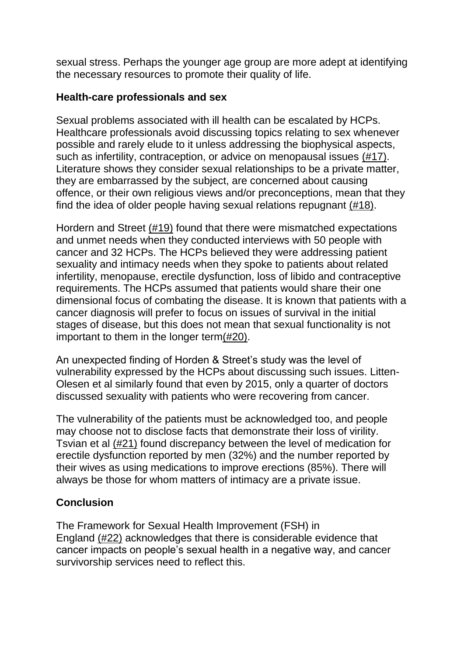sexual stress. Perhaps the younger age group are more adept at identifying the necessary resources to promote their quality of life.

#### **Health-care professionals and sex**

Sexual problems associated with ill health can be escalated by HCPs. Healthcare professionals avoid discussing topics relating to sex whenever possible and rarely elude to it unless addressing the biophysical aspects, such as infertility, contraception, or advice on menopausal issues [\(#17\).](https://www.sor.org/print/22351#TB_inline?height=155&width=300&inlineId=cite_ref-17&modal=false) Literature shows they consider sexual relationships to be a private matter, they are embarrassed by the subject, are concerned about causing offence, or their own religious views and/or preconceptions, mean that they find the idea of older people having sexual relations repugnant [\(#18\).](https://www.sor.org/print/22351#TB_inline?height=155&width=300&inlineId=cite_ref-18&modal=false)

Hordern and Street [\(#19\)](https://www.sor.org/print/22351#TB_inline?height=155&width=300&inlineId=cite_ref-19&modal=false) found that there were mismatched expectations and unmet needs when they conducted interviews with 50 people with cancer and 32 HCPs. The HCPs believed they were addressing patient sexuality and intimacy needs when they spoke to patients about related infertility, menopause, erectile dysfunction, loss of libido and contraceptive requirements. The HCPs assumed that patients would share their one dimensional focus of combating the disease. It is known that patients with a cancer diagnosis will prefer to focus on issues of survival in the initial stages of disease, but this does not mean that sexual functionality is not important to them in the longer term $(\#20)$ .

An unexpected finding of Horden & Street's study was the level of vulnerability expressed by the HCPs about discussing such issues. Litten-Olesen et al similarly found that even by 2015, only a quarter of doctors discussed sexuality with patients who were recovering from cancer.

The vulnerability of the patients must be acknowledged too, and people may choose not to disclose facts that demonstrate their loss of virility. Tsvian et al [\(#21\)](https://www.sor.org/print/22351#TB_inline?height=155&width=300&inlineId=cite_ref-21&modal=false) found discrepancy between the level of medication for erectile dysfunction reported by men (32%) and the number reported by their wives as using medications to improve erections (85%). There will always be those for whom matters of intimacy are a private issue.

## **Conclusion**

The Framework for Sexual Health Improvement (FSH) in England [\(#22\)](https://www.sor.org/print/22351#TB_inline?height=155&width=300&inlineId=cite_ref-22&modal=false) acknowledges that there is considerable evidence that cancer impacts on people's sexual health in a negative way, and cancer survivorship services need to reflect this.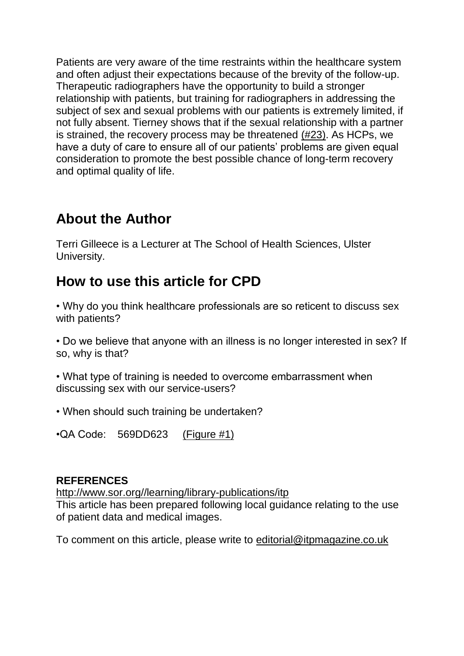Patients are very aware of the time restraints within the healthcare system and often adjust their expectations because of the brevity of the follow-up. Therapeutic radiographers have the opportunity to build a stronger relationship with patients, but training for radiographers in addressing the subject of sex and sexual problems with our patients is extremely limited, if not fully absent. Tierney shows that if the sexual relationship with a partner is strained, the recovery process may be threatened [\(#23\).](https://www.sor.org/print/22351#TB_inline?height=155&width=300&inlineId=cite_ref-23&modal=false) As HCPs, we have a duty of care to ensure all of our patients' problems are given equal consideration to promote the best possible chance of long-term recovery and optimal quality of life.

# **About the Author**

Terri Gilleece is a Lecturer at The School of Health Sciences, Ulster University.

# **How to use this article for CPD**

• Why do you think healthcare professionals are so reticent to discuss sex with patients?

• Do we believe that anyone with an illness is no longer interested in sex? If so, why is that?

• What type of training is needed to overcome embarrassment when discussing sex with our service-users?

• When should such training be undertaken?

•QA Code: 569DD623 [\(Figure #1\)](https://www.sor.org/sites/default/files/itp/itp_jan17_912.jpg)

## **REFERENCES**

[http://www.sor.org//learning/library-publications/itp](http://www.sor.org/learning/library-publications/itp) This article has been prepared following local guidance relating to the use of patient data and medical images.

To comment on this article, please write to [editorial@itpmagazine.co.uk](mailto:editorial@itpmagazine.co.uk)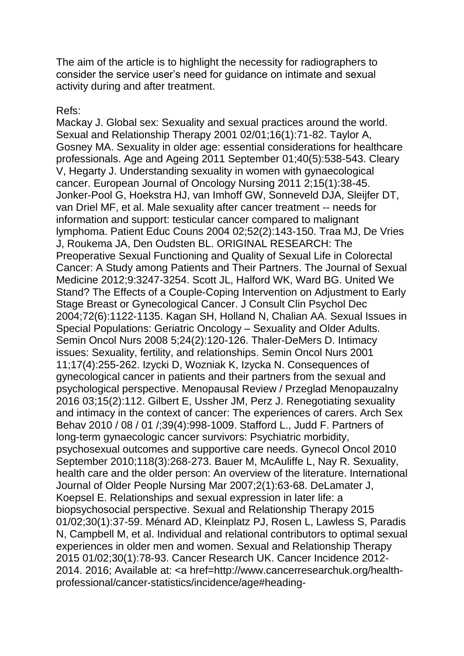The aim of the article is to highlight the necessity for radiographers to consider the service user's need for guidance on intimate and sexual activity during and after treatment.

#### Refs:

Mackay J. Global sex: Sexuality and sexual practices around the world. Sexual and Relationship Therapy 2001 02/01;16(1):71-82. Taylor A, Gosney MA. Sexuality in older age: essential considerations for healthcare professionals. Age and Ageing 2011 September 01;40(5):538-543. Cleary V, Hegarty J. Understanding sexuality in women with gynaecological cancer. European Journal of Oncology Nursing 2011 2;15(1):38-45. Jonker-Pool G, Hoekstra HJ, van Imhoff GW, Sonneveld DJA, Sleijfer DT, van Driel MF, et al. Male sexuality after cancer treatment -- needs for information and support: testicular cancer compared to malignant lymphoma. Patient Educ Couns 2004 02;52(2):143-150. Traa MJ, De Vries J, Roukema JA, Den Oudsten BL. ORIGINAL RESEARCH: The Preoperative Sexual Functioning and Quality of Sexual Life in Colorectal Cancer: A Study among Patients and Their Partners. The Journal of Sexual Medicine 2012;9:3247-3254. Scott JL, Halford WK, Ward BG. United We Stand? The Effects of a Couple-Coping Intervention on Adjustment to Early Stage Breast or Gynecological Cancer. J Consult Clin Psychol Dec 2004;72(6):1122-1135. Kagan SH, Holland N, Chalian AA. Sexual Issues in Special Populations: Geriatric Oncology – Sexuality and Older Adults. Semin Oncol Nurs 2008 5;24(2):120-126. Thaler-DeMers D. Intimacy issues: Sexuality, fertility, and relationships. Semin Oncol Nurs 2001 11;17(4):255-262. Izycki D, Wozniak K, Izycka N. Consequences of gynecological cancer in patients and their partners from the sexual and psychological perspective. Menopausal Review / Przeglad Menopauzalny 2016 03;15(2):112. Gilbert E, Ussher JM, Perz J. Renegotiating sexuality and intimacy in the context of cancer: The experiences of carers. Arch Sex Behav 2010 / 08 / 01 /;39(4):998-1009. Stafford L., Judd F. Partners of long-term gynaecologic cancer survivors: Psychiatric morbidity, psychosexual outcomes and supportive care needs. Gynecol Oncol 2010 September 2010;118(3):268-273. Bauer M, McAuliffe L, Nay R. Sexuality, health care and the older person: An overview of the literature. International Journal of Older People Nursing Mar 2007;2(1):63-68. DeLamater J, Koepsel E. Relationships and sexual expression in later life: a biopsychosocial perspective. Sexual and Relationship Therapy 2015 01/02;30(1):37-59. Ménard AD, Kleinplatz PJ, Rosen L, Lawless S, Paradis N, Campbell M, et al. Individual and relational contributors to optimal sexual experiences in older men and women. Sexual and Relationship Therapy 2015 01/02;30(1):78-93. Cancer Research UK. Cancer Incidence 2012- 2014. 2016; Available at: <a href=http://www.cancerresearchuk.org/healthprofessional/cancer-statistics/incidence/age#heading-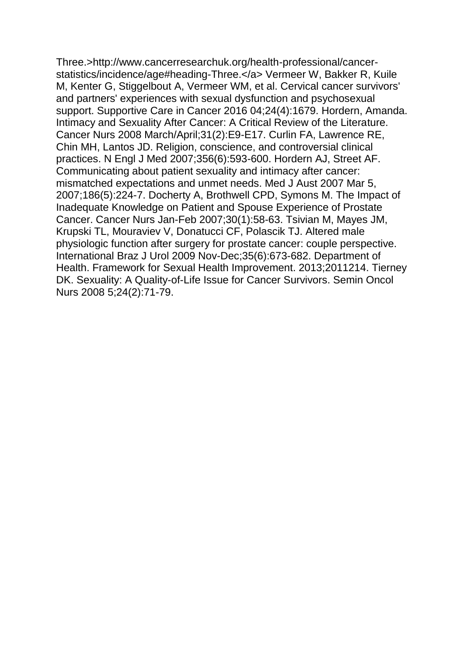Three.>http://www.cancerresearchuk.org/health-professional/cancerstatistics/incidence/age#heading-Three.</a> Vermeer W, Bakker R, Kuile M, Kenter G, Stiggelbout A, Vermeer WM, et al. Cervical cancer survivors' and partners' experiences with sexual dysfunction and psychosexual support. Supportive Care in Cancer 2016 04;24(4):1679. Hordern, Amanda. Intimacy and Sexuality After Cancer: A Critical Review of the Literature. Cancer Nurs 2008 March/April;31(2):E9-E17. Curlin FA, Lawrence RE, Chin MH, Lantos JD. Religion, conscience, and controversial clinical practices. N Engl J Med 2007;356(6):593-600. Hordern AJ, Street AF. Communicating about patient sexuality and intimacy after cancer: mismatched expectations and unmet needs. Med J Aust 2007 Mar 5, 2007;186(5):224-7. Docherty A, Brothwell CPD, Symons M. The Impact of Inadequate Knowledge on Patient and Spouse Experience of Prostate Cancer. Cancer Nurs Jan-Feb 2007;30(1):58-63. Tsivian M, Mayes JM, Krupski TL, Mouraviev V, Donatucci CF, Polascik TJ. Altered male physiologic function after surgery for prostate cancer: couple perspective. International Braz J Urol 2009 Nov-Dec;35(6):673-682. Department of Health. Framework for Sexual Health Improvement. 2013;2011214. Tierney DK. Sexuality: A Quality-of-Life Issue for Cancer Survivors. Semin Oncol Nurs 2008 5;24(2):71-79.